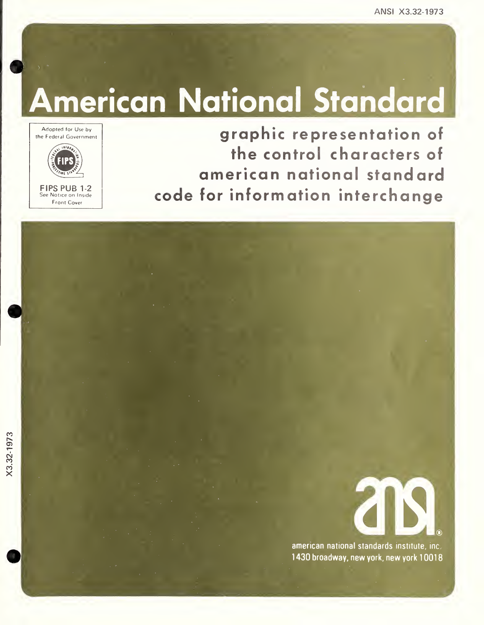# American National Standard

Adopted for Use by the Federal Government 18F8 FIPS FIPS PUB 1-2 See Notice on Inside Front Cover

graphic representation of the control characters of american national standard code for information interchange



american national standards institute, inc 1430 broadway, new york, new york 10018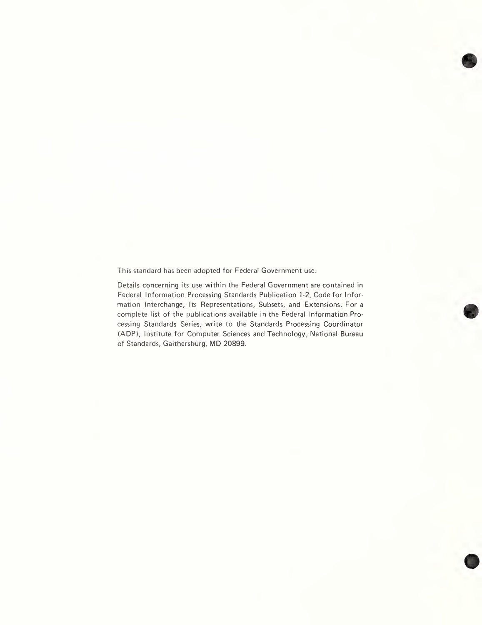This standard has been adopted for Federal Government use.

Details concerning its use within the Federal Government are contained in Federal Information Processing Standards Publication 1-2, Code for Information Interchange, Its Representations, Subsets, and Extensions. For a complete list of the publications available in the Federal Information Processing Standards Series, write to the Standards Processing Coordinator (ADP), Institute for Computer Sciences and Technology, National Bureau of Standards, Gaithersburg, MD 20899.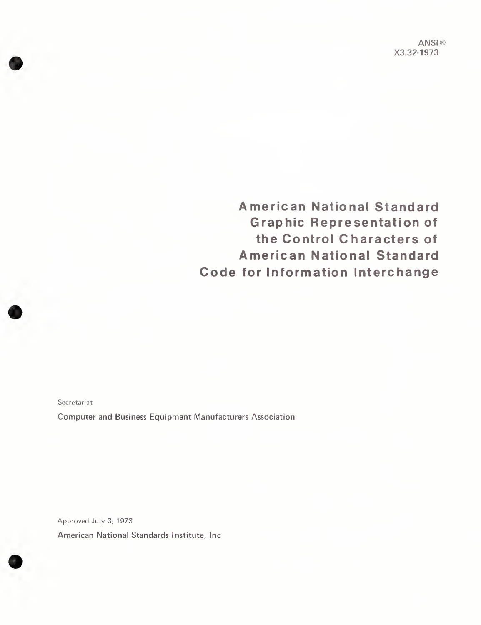ANSI® X3.32-1973

American National Standard Graphic Representation of the Control Characters of American National Standard Code for Information Interchange

Secretariat

Computer and Business Equipment Manufacturers Association

Approved July 3, 1973 American National Standards Institute, Inc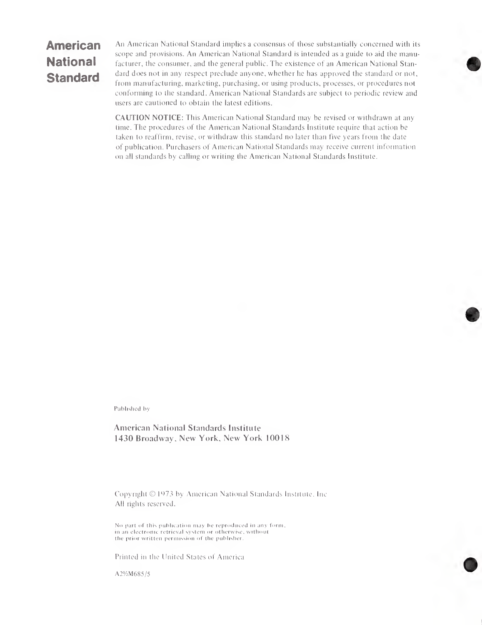## American **National** Standard

An American National Standard implies a consensus of those substantially concerned with its scope and provisions. An American National Standard is intended as a guide to aid the manufacturer, the consumer, and the general public. The existence of an American National Standard does not in any respect preclude anyone, whether he has approved the standard or not, from manufacturing, marketing, purchasing, or using products, processes, or procedures not conforming to the standard. American National Standards are subject to periodic review and users are cautioned to obtain the latest editions.

CAUTION NOTICE: This American National Standard may be revised or withdrawn at any time. The procedures of the American National Standards Institute require that action be taken to reaffirm, revise, or withdraw this standard no later than five years from the date of publication. Purchasers of American National Standards may receive current information on all standards by calling or writing the American National Standards Institute.

Published by

#### American National Standards Institute 1430 Broadway, New York, New York 10018

Copyright  $\odot$  1973 by American National Standards Institute. Inc All rights reserved.

No part of this publication may he reproduced in any form, in an electronic retrieval system or otherwise, without the prior written permission of the publisher.

Printed in the United States of America

A2½M685/5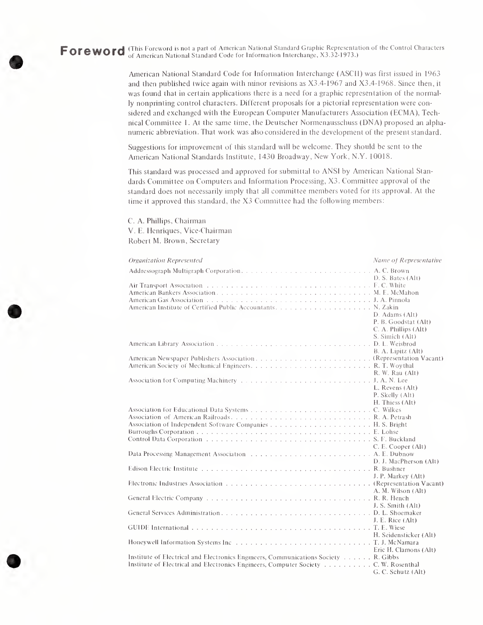Foreword (This Foreword is not a part of American National Standard Graphic Representation of the Control Characters of American National Standard Code for Information Interchange, X3.32-1973.)

> American National Standard Code for Information Interchange (ASCII) was first issued in 1963 and then published twice again with minor revisions as X3.4-1967 and X3.4-1968. Since then, it was found that in certain applications there is a need for a graphic representation of the normally nonprinting control characters. Different proposals for a pictorial representation were considered and exchanged with the European Computer Manufacturers Association (ECMA), Technical Committee 1. At the same time, the Deutscher Normenausschuss (DNA) proposed an alpha numeric abbreviation. That work was also considered in the development of the present standard.

Suggestions for improvement of this standard will be welcome. They should be sent to the American National Standards Institute, 1430 Broadway, New York, N.Y. 10018.

This standard was processed and approved for submittal to ANSI by American National Stan dards Committee on Computers and Information Processing, X3. Committee approval of the standard does not necessarily imply that all committee members voted for its approval. At the time it approved this standard, the X3 Committee had the following members:

C. A. Phillips, Chairman V. E. Henriques, Vice-Chairman Robert M. Brown, Secretary

| Organization Represented                                                                                                                                                  | Name of Representative                                                                                 |
|---------------------------------------------------------------------------------------------------------------------------------------------------------------------------|--------------------------------------------------------------------------------------------------------|
|                                                                                                                                                                           |                                                                                                        |
|                                                                                                                                                                           | D. S. Bates (Alt)<br>D. Adams (Alt)<br>P. B. Goodstat (Alt)<br>C. A. Phillips (Alt)<br>S. Simich (Alt) |
|                                                                                                                                                                           | B. A. Lipitz (Alt)                                                                                     |
|                                                                                                                                                                           | R. W. Rau (Alt)                                                                                        |
|                                                                                                                                                                           | L. Revens (Alt)<br>P. Skelly (Alt)<br>H. Thiess (Alt)                                                  |
|                                                                                                                                                                           | C. E. Cooper (Alt)                                                                                     |
|                                                                                                                                                                           | D. J. MacPherson (Alt)                                                                                 |
|                                                                                                                                                                           | J. P. Markey (Alt)                                                                                     |
|                                                                                                                                                                           | A. M. Wilson (Alt)                                                                                     |
|                                                                                                                                                                           | J. S. Smith (Alt)                                                                                      |
|                                                                                                                                                                           | J. E. Rice (Alt)                                                                                       |
|                                                                                                                                                                           | H. Seidensticker (Alt)                                                                                 |
|                                                                                                                                                                           | Eric H. Clamons (Alt)                                                                                  |
| Institute of Electrical and Electronics Engineers, Communications Society R. Gibbs<br>Institute of Electrical and Electronics Engineers, Computer Society C. W. Rosenthal | G. C. Schutz (Alt)                                                                                     |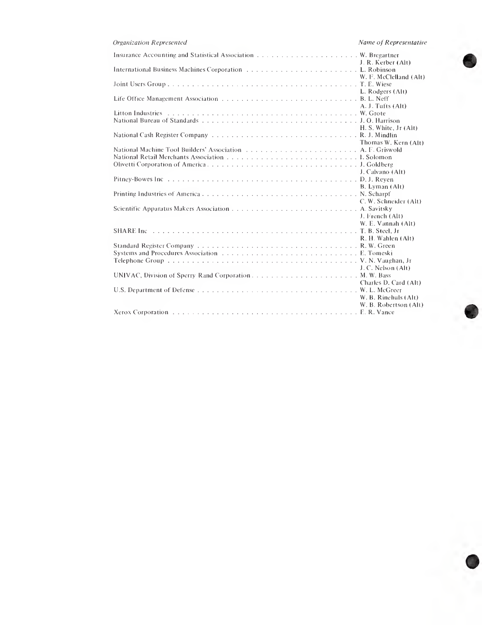| Organization Represented                              | Name of Representative                        |
|-------------------------------------------------------|-----------------------------------------------|
|                                                       |                                               |
|                                                       | W. F. McClelland (Alt)                        |
|                                                       | L. Rodgers (Alt)                              |
|                                                       | A. J. Tufts (Alt)                             |
|                                                       |                                               |
|                                                       | H. S. White, Jr (Alt)                         |
|                                                       | Thomas W. Kern (Alt)                          |
|                                                       |                                               |
|                                                       | J. Calvano (Alt)                              |
|                                                       | B. Lyman (Alt)<br>C. W. Schneider (Alt)       |
|                                                       | J. French (Alt)                               |
|                                                       | W. E. Vannah (Alt)<br>R. H. Wahlen (Alt)      |
|                                                       |                                               |
|                                                       | J. C. Nelson (Alt)                            |
| UNIVAC, Division of Sperry Rand Corporation M.W. Bass | Charles D. Card (Alt)                         |
|                                                       | W. B. Rinehuls (Alt)<br>W. B. Robertson (Alt) |
|                                                       |                                               |
|                                                       |                                               |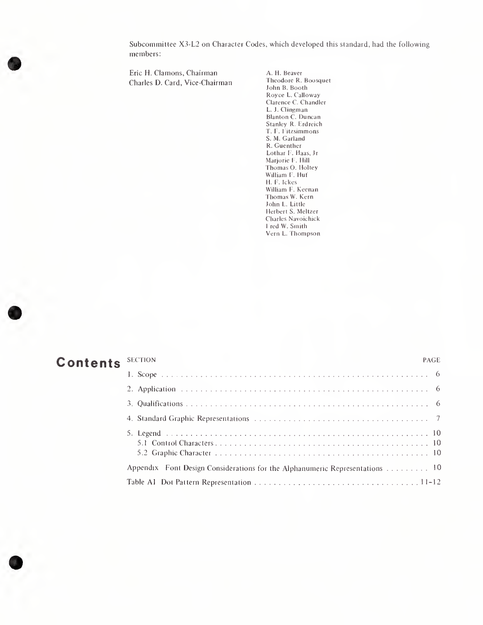Subcommittee X3-L2 on Character Codes, which developed this standard, had the following members:

Eric H. Clamons, Chairman A. H. Beaver<br>
Charles D. Card. Vice-Chairman Theodore R. Boosquet Charles D. Card, Vice-Chairman

John B. Booth Royce L. Calloway Clarence C. Chandler L. J. Clingman Blanton C. Duncan Stanley R. Erdreich T. F. Fitzsimmons S. M. Garland R. Guenther Lothar F. Haas, Jr Marjorie F. Hill Thomas O. Holtey William F. Hut H. F. Ickes William F. Keenan Thomas W. Kern John L. Little Herbert S. Meltzer Charles Navoichick Fred W. Smith Vern L. Thompson

### Contents SECTION PAGE

# 1.Scope. <sup>6</sup> 2. Application. <sup>6</sup> 3. Qualifications. <sup>6</sup> 4. Standard GraphicRepresentations. <sup>7</sup> Subcommittee X3-4.2 on Chanselet Codes, which developed this strachest, but following<br>members:<br>
First L. Channel Codes and the control of the control of the Channel Regime in the control of Channel Regime<br>
That is a contr 5.1 ControlCharacters. <sup>10</sup> 5.2 GraphicCharacter. <sup>10</sup> Appendix Font Design Considerations for the Alphanumeric Representations. <sup>10</sup> Table A1 Dot Pattern Representation.11-12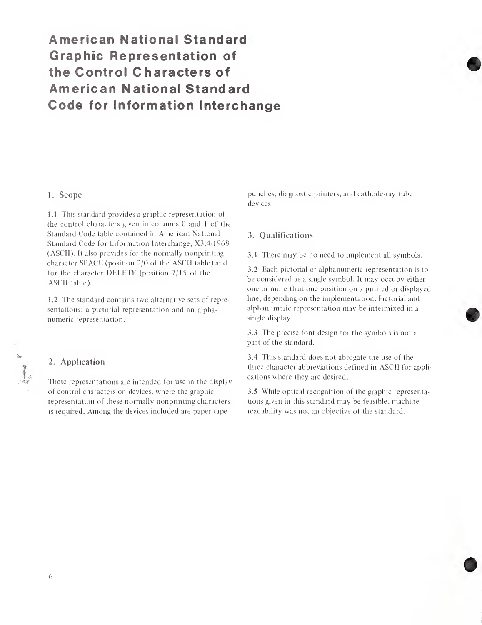# American National Standard Graphic Representation of the Control Characters of American National Standard Code for Information Interchange

#### 1. Scope

1.1 This standard provides a graphic representation of the control characters given in columns 0 and <sup>1</sup> of the Standard Code table contained in American National Standard Code for Information Interchange, X3.4-1968 (ASCII). It also provides for the normally nonprinting character SPACE (position 2/0 of the ASCII table) and for the character DELETE (position 7/15 of the ASCII table).

1.2 The standard contains two alternative sets of representations: a pictorial representation and an alphanumeric representation.

#### 2. Application

These representations are intended for use in the display of control characters on devices, where the graphic representation of these normally nonprinting characters is required. Among the devices included are paper tape

punches, diagnostic printers, and cathode-ray tube devices.

#### 3. Qualifications

3.1 There may be no need to implement all symbols.

3.2 Each pictorial or alphanumeric representation is to be considered as a single symbol. It may occupy either one or more than one position on a printed or displayed line, depending on the implementation. Pictorial and alphanumeric representation may be intermixed in a single display.

3.3 The precise font design for the symbols is not a part of the standard.

3.4 This standard does not abrogate the use of the three character abbreviations defined in ASCII for applications where they are desired.

3.5 While optical recognition of the graphic representations given in this standard may be feasible, machine readability was not an objective of the standard.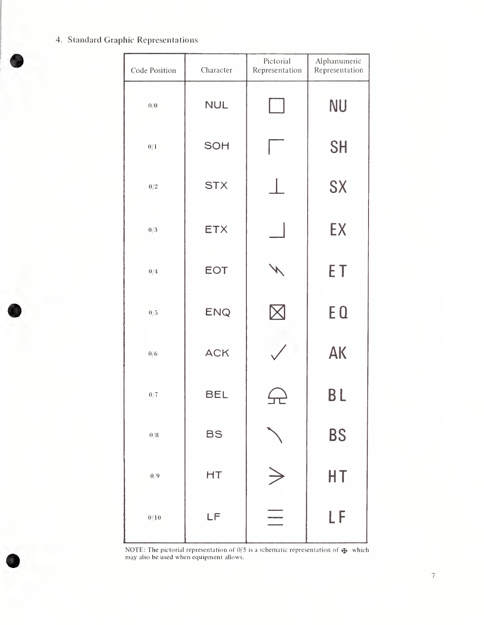#### 4. Standard Graphic Representations

| Code Position | Character  | Pictorial<br>Representation | Alphanumeric<br>Representation |
|---------------|------------|-----------------------------|--------------------------------|
| 0/0           | <b>NUL</b> |                             | <b>NU</b>                      |
| 0/1           | SOH        |                             | <b>SH</b>                      |
| $0/2\,$       | <b>STX</b> |                             | SX                             |
| 0/3           | <b>ETX</b> |                             | EX                             |
| 0/4           | <b>EOT</b> |                             | ET                             |
| 0/5           | <b>ENQ</b> |                             | E <sub>Q</sub>                 |
| 0/6           | <b>ACK</b> |                             | <b>AK</b>                      |
| 0/7           | <b>BEL</b> |                             | <b>BL</b>                      |
| $0/8\,$       | <b>BS</b>  |                             | <b>BS</b>                      |
| $0/9\,$       | HT         |                             | HT                             |
| $0/10\,$      | LF         |                             | LF                             |

NOTE: The pictorial representation of  $0/5$  is a schematic representation of  $\mathbb{R}$  which may also be used when equipment allows.

7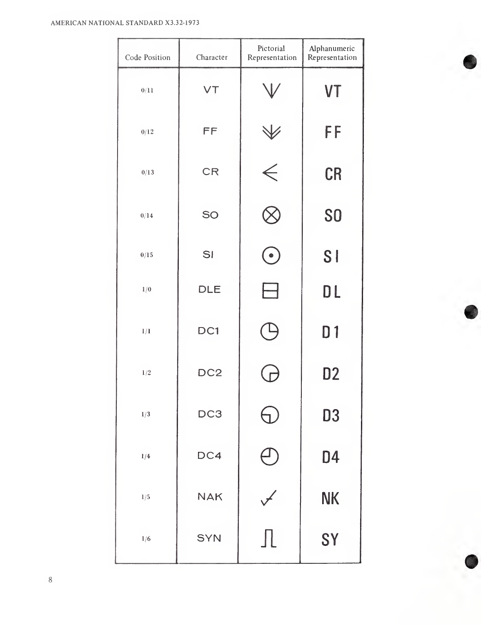#### AMERICAN NATIONAL STANDARD X3.32-1973

| Code Position | Character       | Pictorial<br>Representation | Alphanumeric<br>Representation |
|---------------|-----------------|-----------------------------|--------------------------------|
| 0/11          | VT              |                             | <b>VT</b>                      |
| 0/12          | FF              |                             | FF                             |
| 0/13          | <b>CR</b>       | $\check{\epsilon}$          | <b>CR</b>                      |
| 0/14          | SO              |                             | S <sub>O</sub>                 |
| 0/15          | SI              | $\bullet$                   | <b>SI</b>                      |
| 1/0           | DLE             |                             | DL                             |
| 1/1           | DC1             |                             | D <sub>1</sub>                 |
| 1/2           | DC <sub>2</sub> |                             | D <sub>2</sub>                 |
| 1/3           | DC <sub>3</sub> |                             | <b>D3</b>                      |
| 1/4           | DC4             |                             | D <sub>4</sub>                 |
| 1/5           | <b>NAK</b>      | $\overline{\mathscr{F}}$    | <b>NK</b>                      |
| 1/6           | <b>SYN</b>      | ΠL                          | SY                             |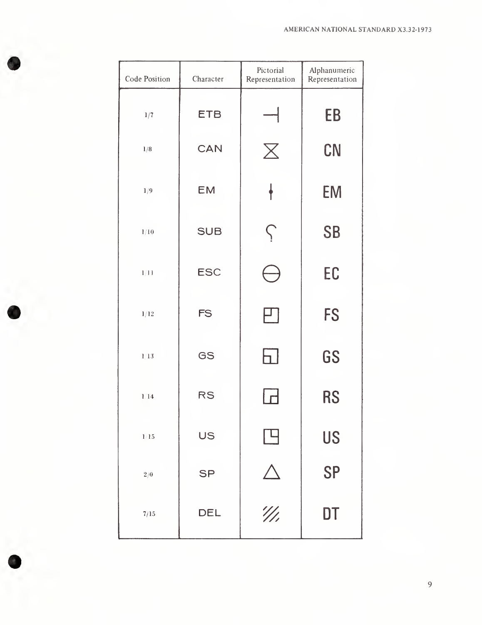| Code Position | Character  | Pictorial<br>Representation | Alphanumeric<br>Representation |
|---------------|------------|-----------------------------|--------------------------------|
| 1/7           | <b>ETB</b> |                             | EB                             |
| 1/8           | <b>CAN</b> | $\bm{\mathsf{X}}$           | CN                             |
| 1/9           | <b>EM</b>  |                             | <b>EM</b>                      |
| $1/10$        | <b>SUB</b> | $\zeta$                     | <b>SB</b>                      |
| 1/11          | <b>ESC</b> |                             | EC                             |
| 1/12          | <b>FS</b>  |                             | <b>FS</b>                      |
| $1/13$        | GS         | h.                          | GS                             |
| 1/14          | <b>RS</b>  |                             | <b>RS</b>                      |
| $1/15$        | US         |                             | <b>US</b>                      |
| 2/0           | <b>SP</b>  |                             | <b>SP</b>                      |
| 7/15          | DEL        | $^{\prime\prime\prime}$     | DT                             |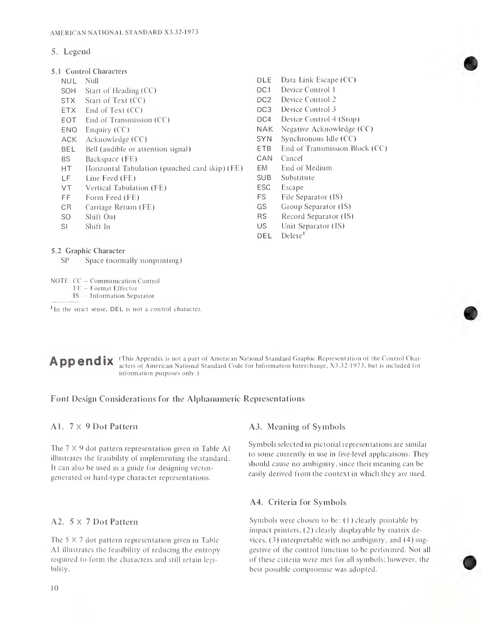#### 5. Legend

- 5.1 Control Characters
	-
	- SOH Start of Heading (CC) DC1
	- STX Start of Text (CC) Device Control 2
	- ETX End of Text (CC) DC3 Device Control 3
	- EOT End of Transmission (CC) DC4 Device Control 4 (Stop)
	-
	- ACK Acknowledge (CC) SYN Synchronous Idle (CC)
	- BEL Bell (audible or attention signal) ETB End of Transmission Block (CC)
	- BS Backspace (FE) CAN Cancel
	- HT Horizontal Tabulation (punched card skip) (FE) EM End of Medium
	- LF Line Feed (FE) SUB Substitute
	- VT Vertical Tabulation (FE) ESC Escape
	-
	- CR Carriage Return (FE) GS Group Separator (IS)
	-
	-
- 5.2 Graphic Character
	- SP Space (normally nonprinting)
- NUL Null<br>
SOH Start of Heading (CC) DE Data Link Escape (CC)<br>
DC1 Device Control 1
	-
	-
	-
	-
- ENQ Enquiry (CC) NAK Negative Acknowledge (CC)
	-
	-
	-
	-
	-
	-
- FF Form Feed (FE) FS File Separator (IS)
	-
- SO Shift Out RS Record Separator (IS)
- SI Shift In US Unit Separator (IS)
	- DEL Delete<sup>1</sup>

#### NOTE: CC — Communication Control

- FE Format Effector
- IS Information Separator

 $<sup>1</sup>$ In the strict sense, DEL is not a control character.</sup>

Appendix (This Appendix is not a part of American National Standard Graphic Representation of the Control Characters of American National Standard Code for Information Interchange, X3.32-1973, but is included for information purposes only.)

#### Font Design Considerations for the Alphanumeric Representations

#### A1. 7x9 Dot Pattern

The  $7 \times 9$  dot pattern representation given in Table Al illustrates the feasibility of implementing the standard. It can also be used as a guide for designing vectorgenerated or hard-type character representations.

#### A2.  $5 \times 7$  Dot Pattern

The  $5 \times 7$  dot pattern representation given in Table A1 illustrates the feasibility of reducing the entropy required to form the characters and still retain legibility.

#### A3. Meaning of Symbols

Symbols selected in pictorial representations are similar to some currently in use in five-level applications. They should cause no ambiguity, since their meaning can be easily derived from the context in which they are used.

#### A4. Criteria for Symbols

Symbols were chosen to be:  $(1)$  clearly printable by impact printers,  $(2)$  clearly displayable by matrix devices,  $(3)$  interpretable with no ambiguity, and  $(4)$  suggestive of the control function to be performed. Not all of these criteria were met for all symbols; however, the best possible compromise was adopted.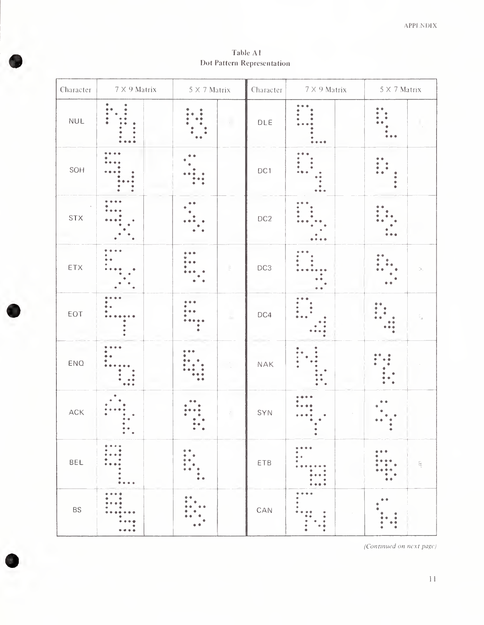Table A1 Dot Pattern Representation

| Character                    | $7 \times 9$ Matrix $\begin{array}{ c c } \hline 5 \times 7$ Matrix |                | ${\rm Character}$           | $7 \times 9$ Matrix | $5 \times 7$ Matrix      |
|------------------------------|---------------------------------------------------------------------|----------------|-----------------------------|---------------------|--------------------------|
| $\ensuremath{\mathsf{NULL}}$ |                                                                     | $\mathcal{L}$  | $DLE$                       |                     |                          |
| SOH                          |                                                                     |                | DC1                         |                     |                          |
| $\text{STX}$                 |                                                                     |                | DC <sub>2</sub>             |                     |                          |
| $\mathsf{ETX}$               |                                                                     |                | DC3                         |                     |                          |
| EOT                          |                                                                     |                | DC4                         |                     |                          |
| ENQ                          |                                                                     |                | $\ensuremath{\mathsf{NAK}}$ |                     |                          |
| ${\sf ACK}$                  |                                                                     |                | SYN                         |                     |                          |
| BEL                          | ۰<br>$\bullet$ $\bullet$                                            | ٠<br>$\bullet$ | ETB                         | ۰<br>$\bullet$      | $\bullet$ $\bullet$<br>⊊ |
| <b>BS</b>                    | $\bullet$ $\bullet$ $\bullet$                                       |                | $\mathsf{CAN}\xspace$       | $\bullet$<br>٠<br>٠ |                          |

(Continued on next page)

 $\mathbf{1}\mathbf{1}$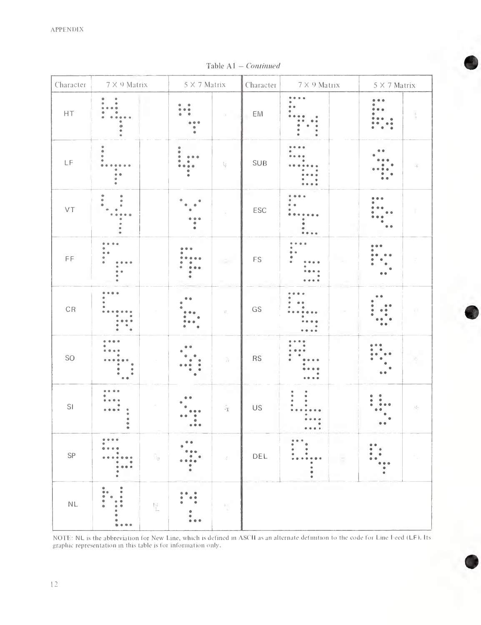|                                              |                                                                               |                                   |                                                |                                   | Table A1 - Continued           |                                                      |                               |                  |
|----------------------------------------------|-------------------------------------------------------------------------------|-----------------------------------|------------------------------------------------|-----------------------------------|--------------------------------|------------------------------------------------------|-------------------------------|------------------|
| Character                                    | $7\times$ 9 Matrix                                                            |                                   | $5\times7$ Matrix                              |                                   | $7\times9$ Matrix<br>Character |                                                      | $5\times7$ Matrix             |                  |
| $\sf{HT}$                                    | ۰<br>۰<br>$\bullet$                                                           |                                   | ۰                                              |                                   | EM                             | ė                                                    |                               |                  |
| $\mathsf{LF}% _{0}\left( \mathcal{N}\right)$ | ٠<br>٥<br>۰                                                                   |                                   | $\ddot{\phantom{0}}$                           | ţ.                                | SUB                            |                                                      |                               | Æ.               |
| $\vee\top$                                   | ۰<br>٠                                                                        |                                   |                                                |                                   | ESC                            | $\bullet$ $\bullet$                                  |                               |                  |
| $\mathsf{FF}% _{0}$                          | ٠                                                                             |                                   |                                                |                                   | $\mathop{\mathsf{FS}}$         |                                                      |                               |                  |
| $\mathbb{C}\mathbb{R}$                       |                                                                               |                                   |                                                | $\widehat{\mathbb{H}}_1$          | GS                             |                                                      |                               |                  |
| SO                                           | $\frac{1}{2}$<br>$\begin{array}{c} 0 \\ 0 \\ 0 \\ 0 \end{array}$<br>$\bullet$ |                                   | $^{\circ}$ $^{\circ}$<br>$\ddot{\bullet}$<br>۰ |                                   | RS                             |                                                      | $\bullet$<br>$\ddot{\bullet}$ |                  |
| SI                                           | 0.0<br>۰<br>۰<br>۰<br>$\bullet$                                               |                                   | $\bullet$ $\bullet$ $\bullet$                  | $\tilde{\mathbb{F}}_{\mathbb{E}}$ | US                             | $\ddot{\phantom{a}}$<br>$\pmb{\bullet}$<br>$\bullet$ | ۰<br>۰                        | $\beta_{\rm cr}$ |
| SP                                           | ٠<br>۰<br>۰<br>$\bullet$                                                      | $\tilde{\mathbb{Q}}_{\mathbb{B}}$ | ۰                                              | $\mathcal{Z}$                     | DEL                            | ¢<br>$\bullet$<br>$\bullet$                          | $\bullet$                     |                  |
| $\mathsf{NL}$                                | ۰<br>۰<br>$\ddot{\phantom{0}}$                                                | ħ.                                | ٠<br>۰                                         |                                   |                                |                                                      |                               |                  |

Table A1 — Continued

NOTE: NL is the abbreviation for New Line, which is defined in ASCII as an alternate definition to the code for Line heed (LF). Its graphic representation in this table is for information only.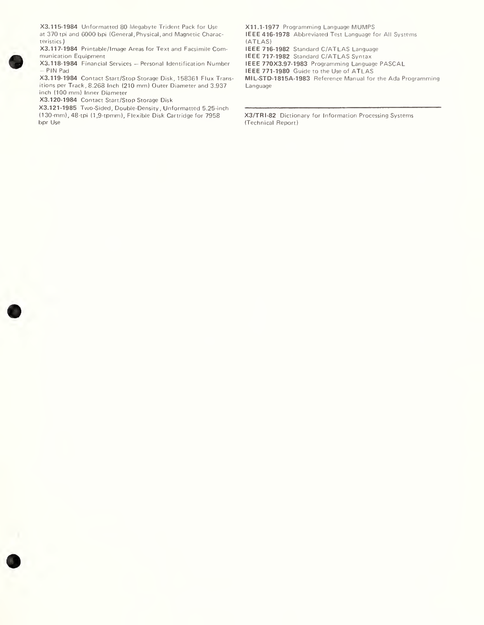X3.115-1984 Unformatted 80 Megabyte Trident Pack for Use at 370 tpi and 6000 bpi (General, Physical, and Magnetic Characteristics )

X3.117-1984 Printable/lmage Areas for Text and Facsimile Com munication Equipment

X3.118-1984 Financial Services — Personal Identification Number PIN Pad

X3.119-1984 Contact Start/Stop Storage Disk, 158361 Flux Transitions per Track, 8.268 Inch (210 mm) Outer Diameter and 3.937 inch (100 mm) Inner Diameter

X3.120-1984 Contact Start/Stop Storage Disk

X3.121-1985 Two-Sided, Double-Density, Unformatted 5.25-mch (1 30-mm), 48-tpi (1,9-tpmm). Flexible Disk Cartridge for 7958 bpr Use

XII.1-1977 Programming Language MUMPS IEEE 416-1978 Abbreviated Test Language for All Systems (ATLAS)

IEEE 716-1982 Standard C/ATLAS Language

IEEE 717-1982 Standard C/ATLAS Syntax

IEEE 770X3.97-1983 Programming Language PASCAL

IEEE 771-1980 Guide to the Use of ATLAS

MIL-STD-1815A-1983 Reference Manual for the Ada Programming Language

X3/TRI-82 Dictionary for Information Processing Systems (Technical Report)